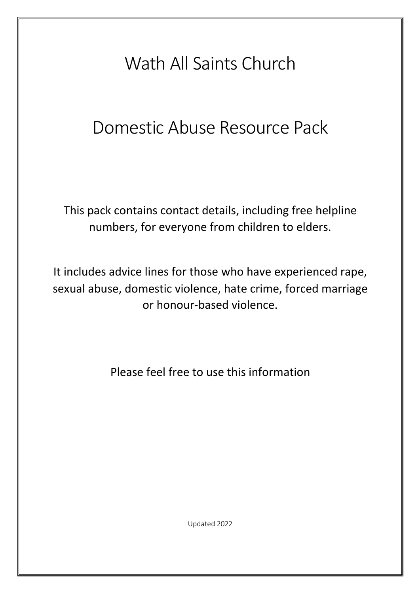# Wath All Saints Church

# Domestic Abuse Resource Pack

This pack contains contact details, including free helpline numbers, for everyone from children to elders.

It includes advice lines for those who have experienced rape, sexual abuse, domestic violence, hate crime, forced marriage or honour-based violence.

Please feel free to use this information

Updated 2022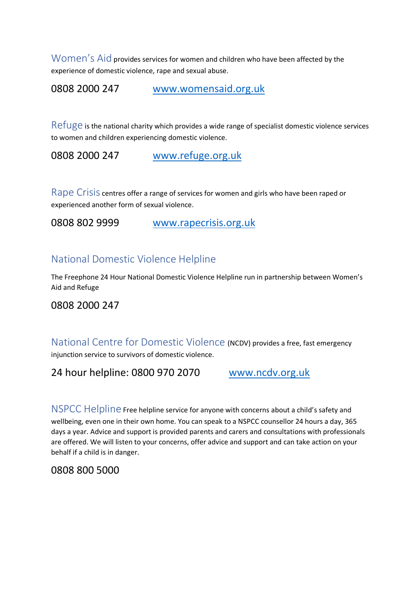Women's Aid provides services for women and children who have been affected by the experience of domestic violence, rape and sexual abuse.

0808 2000 247 www.womensaid.org.uk

Refuge is the national charity which provides a wide range of specialist domestic violence services to women and children experiencing domestic violence.

0808 2000 247 www.refuge.org.uk

Rape Crisis centres offer a range of services for women and girls who have been raped or experienced another form of sexual violence.

0808 802 9999 www.rapecrisis.org.uk

## National Domestic Violence Helpline

The Freephone 24 Hour National Domestic Violence Helpline run in partnership between Women's Aid and Refuge

#### 0808 2000 247

National Centre for Domestic Violence (NCDV) provides a free, fast emergency injunction service to survivors of domestic violence.

24 hour helpline: 0800 970 2070 www.ncdv.org.uk

NSPCC Helpline Free helpline service for anyone with concerns about a child's safety and wellbeing, even one in their own home. You can speak to a NSPCC counsellor 24 hours a day, 365 days a year. Advice and support is provided parents and carers and consultations with professionals are offered. We will listen to your concerns, offer advice and support and can take action on your behalf if a child is in danger.

0808 800 5000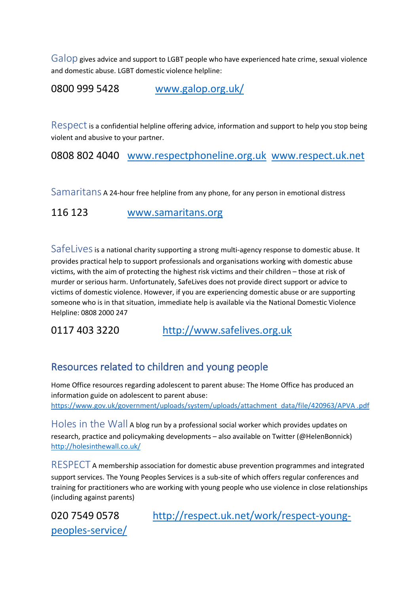Galop gives advice and support to LGBT people who have experienced hate crime, sexual violence and domestic abuse. LGBT domestic violence helpline:

0800 999 5428 www.galop.org.uk/

 $\text{Respect}$  is a confidential helpline offering advice, information and support to help you stop being violent and abusive to your partner.

0808 802 4040 www.respectphoneline.org.uk www.respect.uk.net

Samaritans A 24-hour free helpline from any phone, for any person in emotional distress

116 123 www.samaritans.org

SafeLives is a national charity supporting a strong multi-agency response to domestic abuse. It provides practical help to support professionals and organisations working with domestic abuse victims, with the aim of protecting the highest risk victims and their children – those at risk of murder or serious harm. Unfortunately, SafeLives does not provide direct support or advice to victims of domestic violence. However, if you are experiencing domestic abuse or are supporting someone who is in that situation, immediate help is available via the National Domestic Violence Helpline: 0808 2000 247

0117 403 3220 http://www.safelives.org.uk

# Resources related to children and young people

Home Office resources regarding adolescent to parent abuse: The Home Office has produced an information guide on adolescent to parent abuse: https://www.gov.uk/government/uploads/system/uploads/attachment\_data/file/420963/APVA .pdf

Holes in the Wall A blog run by a professional social worker which provides updates on research, practice and policymaking developments – also available on Twitter (@HelenBonnick) http://holesinthewall.co.uk/

RESPECT A membership association for domestic abuse prevention programmes and integrated support services. The Young Peoples Services is a sub-site of which offers regular conferences and training for practitioners who are working with young people who use violence in close relationships (including against parents)

peoples-service/

020 7549 0578 http://respect.uk.net/work/respect-young-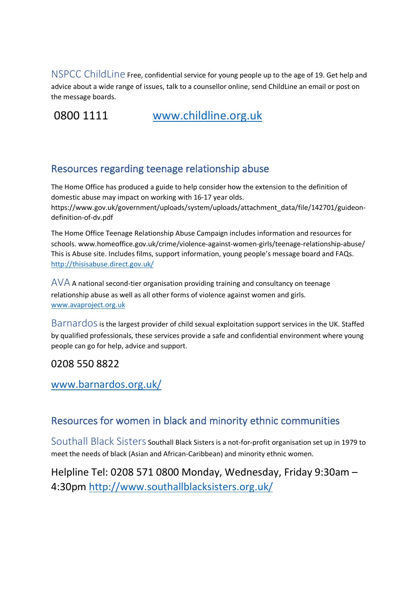NSPCC ChildLine Free, confidential service for young people up to the age of 19. Get help and advice about a wide range of issues, talk to a counsellor online, send ChildLine an email or post on the message boards.

0800 1111 www.childline.org.uk

## Resources regarding teenage relationship abuse

The Home Office has produced a guide to help consider how the extension to the definition of domestic abuse may impact on working with 16-17 year olds. https://www.gov.uk/government/uploads/system/uploads/attachment\_data/file/142701/guideondefinition-of-dv.pdf

The Home Office Teenage Relationship Abuse Campaign includes information and resources for schools. www.homeoffice.gov.uk/crime/violence-against-women-girls/teenage-relationship-abuse/ This is Abuse site. Includes films, support information, young people's message board and FAQs. http://thisisabuse.direct.gov.uk/

 $\triangle$  $\angle$ A A national second-tier organisation providing training and consultancy on teenage relationship abuse as well as all other forms of violence against women and girls. www.avaproject.org.uk

Barnardos is the largest provider of child sexual exploitation support services in the UK. Staffed by qualified professionals, these services provide a safe and confidential environment where young people can go for help, advice and support.

## 0208 550 8822

www.barnardos.org.uk/

## Resources for women in black and minority ethnic communities

Southall Black Sisters Southall Black Sisters is a not-for-profit organisation set up in 1979 to meet the needs of black (Asian and African-Caribbean) and minority ethnic women.

Helpline Tel: 0208 571 0800 Monday, Wednesday, Friday 9:30am – 4:30pm http://www.southallblacksisters.org.uk/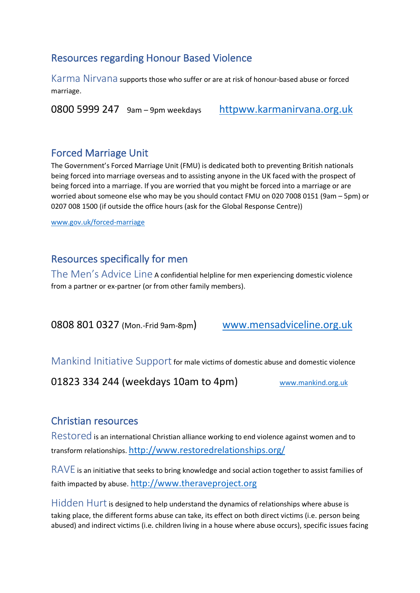### Resources regarding Honour Based Violence

Karma Nirvana supports those who suffer or are at risk of honour-based abuse or forced marriage.

0800 5999 247 9am – 9pm weekdays httpww.karmanirvana.org.uk

#### Forced Marriage Unit

The Government's Forced Marriage Unit (FMU) is dedicated both to preventing British nationals being forced into marriage overseas and to assisting anyone in the UK faced with the prospect of being forced into a marriage. If you are worried that you might be forced into a marriage or are worried about someone else who may be you should contact FMU on 020 7008 0151 (9am – 5pm) or 0207 008 1500 (if outside the office hours (ask for the Global Response Centre))

www.gov.uk/forced-marriage

### Resources specifically for men

The Men's Advice Line A confidential helpline for men experiencing domestic violence from a partner or ex-partner (or from other family members).

0808 801 0327 (Mon.-Frid 9am-8pm) www.mensadviceline.org.uk

Mankind Initiative Support for male victims of domestic abuse and domestic violence

01823 334 244 (weekdays 10am to 4pm) www.mankind.org.uk

#### Christian resources

Restored is an international Christian alliance working to end violence against women and to transform relationships. http://www.restoredrelationships.org/

RAVE is an initiative that seeks to bring knowledge and social action together to assist families of faith impacted by abuse. http://www.theraveproject.org

 $Hidden Hurt$  is designed to help understand the dynamics of relationships where abuse is taking place, the different forms abuse can take, its effect on both direct victims (i.e. person being abused) and indirect victims (i.e. children living in a house where abuse occurs), specific issues facing